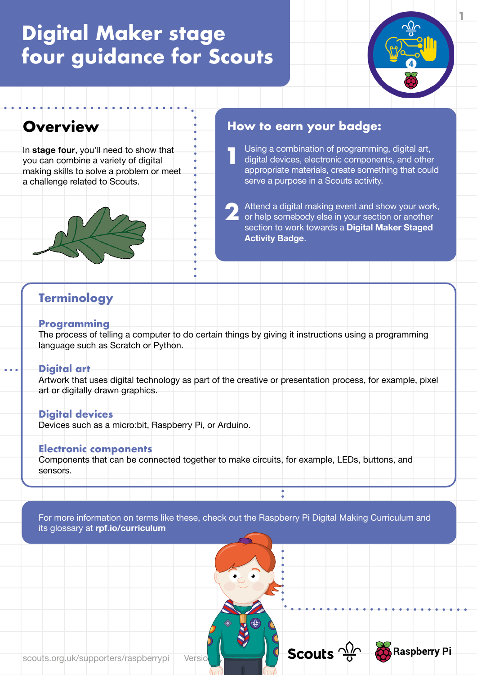

## **Overview**

In **stage four**, you'll need to show that you can combine a variety of digital making skills to solve a problem or meet a challenge related to Scouts.



### **How to earn your badge:**

 Using a combination of programming, digital art, digital devices, electronic components, and other appropriate materials, create something that could serve a purpose in a Scouts activity. **1**

 Attend a digital making event and show your work, or help somebody else in your section or another section to work towards a **Digital Maker Staged Activity Badge**. **2**

Scouts  $\frac{\sqrt{2}}{8}$ 

**Raspberry Pi** 

### **Terminology**

#### **Programming**

The process of telling a computer to do certain things by giving it instructions using a programming language such as Scratch or Python.

#### **Digital art**

Artwork that uses digital technology as part of the creative or presentation process, for example, pixel art or digitally drawn graphics.

#### **Digital devices**

Devices such as a micro:bit, Raspberry Pi, or Arduino.

#### **Electronic components**

Components that can be connected together to make circuits, for example, LEDs, buttons, and sensors.

For more information on terms like these, check out the Raspberry Pi Digital Making Curriculum and its glossary at **[rpf.io/curriculum](https://curriculum.raspberrypi.org/)**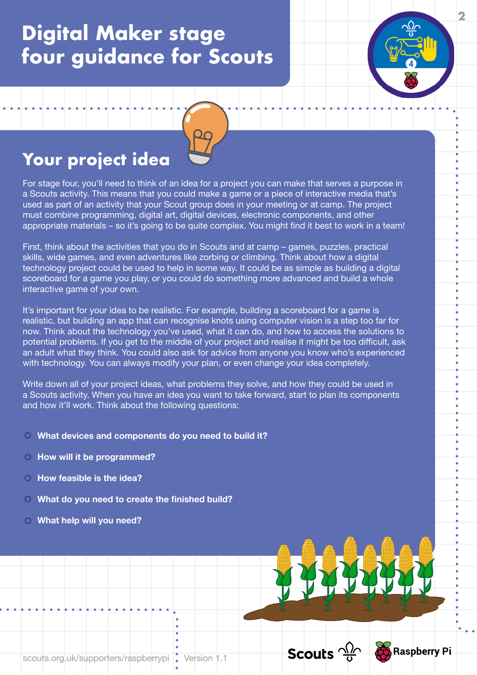

For stage four, you'll need to think of an idea for a project you can make that serves a purpose in a Scouts activity. This means that you could make a game or a piece of interactive media that's used as part of an activity that your Scout group does in your meeting or at camp. The project must combine programming, digital art, digital devices, electronic components, and other appropriate materials – so it's going to be quite complex. You might find it best to work in a team! **2**

First, think about the activities that you do in Scouts and at camp – games, puzzles, practical skills, wide games, and even adventures like zorbing or climbing. Think about how a digital technology project could be used to help in some way. It could be as simple as building a digital scoreboard for a game you play, or you could do something more advanced and build a whole interactive game of your own.

It's important for your idea to be realistic. For example, building a scoreboard for a game is realistic, but building an app that can recognise knots using computer vision is a step too far for now. Think about the technology you've used, what it can do, and how to access the solutions to potential problems. If you get to the middle of your project and realise it might be too difficult, ask an adult what they think. You could also ask for advice from anyone you know who's experienced with technology. You can always modify your plan, or even change your idea completely.

Write down all of your project ideas, what problems they solve, and how they could be used in a Scouts activity. When you have an idea you want to take forward, start to plan its components and how it'll work. Think about the following questions:

Scouts  $\frac{\sqrt{2}}{9}$ 

**Raspberry Pi** 

- **What devices and components do you need to build it?**
- **O** How will it be programmed?
- **How feasible is the idea?**
- **What do you need to create the finished build?**
- **What help will you need?**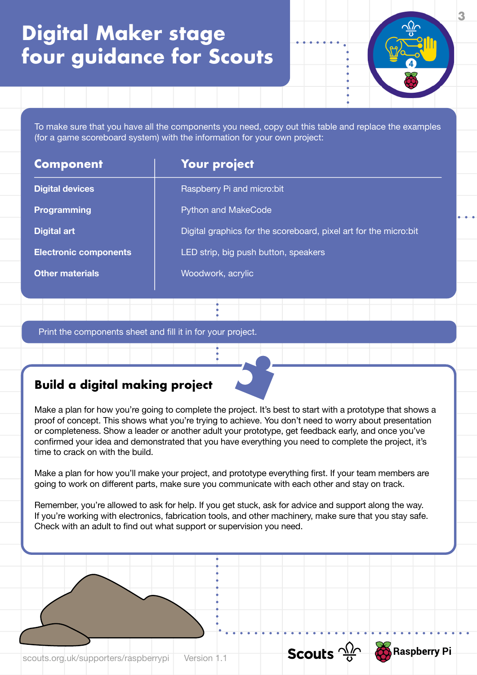To make sure that you have all the components you need, copy out this table and replace the examples (for a game scoreboard system) with the information for your own project:

| <b>Component</b>             | <b>Your project</b>                                               |
|------------------------------|-------------------------------------------------------------------|
| <b>Digital devices</b>       | Raspberry Pi and micro: bit                                       |
| <b>Programming</b>           | <b>Python and MakeCode</b>                                        |
| <b>Digital art</b>           | Digital graphics for the scoreboard, pixel art for the micro: bit |
| <b>Electronic components</b> | LED strip, big push button, speakers                              |
| Other materials              | Woodwork, acrylic                                                 |
|                              |                                                                   |

Print the components sheet and fill it in for your project.

### **Build a digital making project**

Make a plan for how you're going to complete the project. It's best to start with a prototype that shows a proof of concept. This shows what you're trying to achieve. You don't need to worry about presentation or completeness. Show a leader or another adult your prototype, get feedback early, and once you've confirmed your idea and demonstrated that you have everything you need to complete the project, it's time to crack on with the build.

Make a plan for how you'll make your project, and prototype everything first. If your team members are going to work on different parts, make sure you communicate with each other and stay on track.

Remember, you're allowed to ask for help. If you get stuck, ask for advice and support along the way. If you're working with electronics, fabrication tools, and other machinery, make sure that you stay safe. Check with an adult to find out what support or supervision you need.



**3**